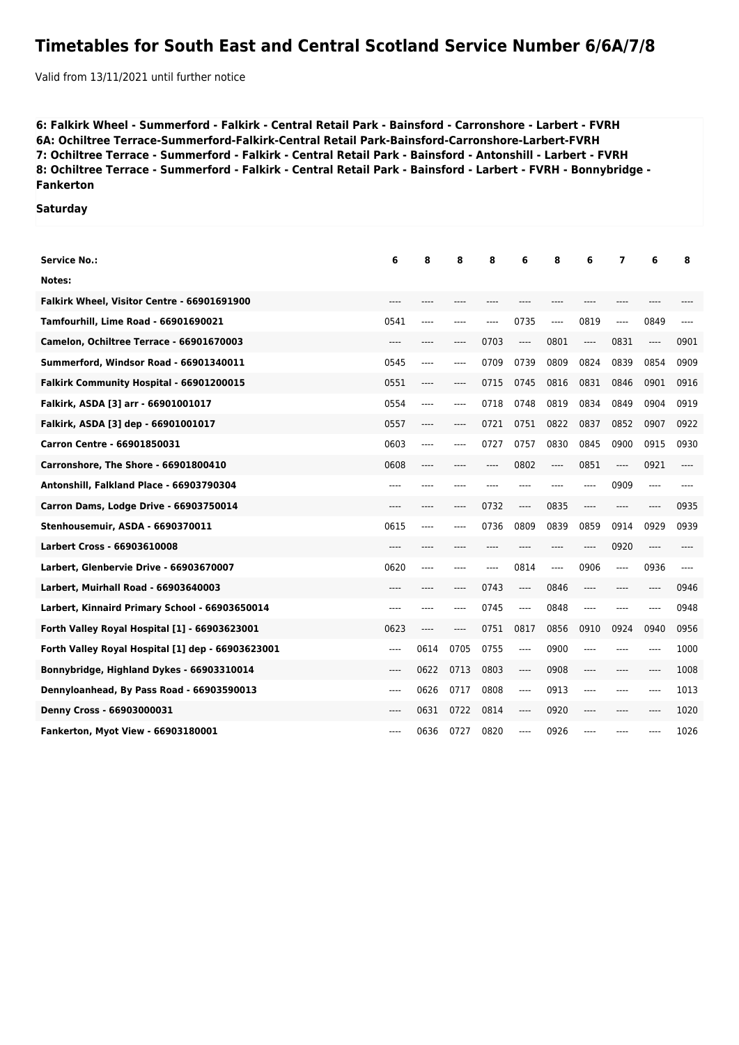## **Timetables for South East and Central Scotland Service Number 6/6A/7/8**

Valid from 13/11/2021 until further notice

**6: Falkirk Wheel - Summerford - Falkirk - Central Retail Park - Bainsford - Carronshore - Larbert - FVRH 6A: Ochiltree Terrace-Summerford-Falkirk-Central Retail Park-Bainsford-Carronshore-Larbert-FVRH 7: Ochiltree Terrace - Summerford - Falkirk - Central Retail Park - Bainsford - Antonshill - Larbert - FVRH 8: Ochiltree Terrace - Summerford - Falkirk - Central Retail Park - Bainsford - Larbert - FVRH - Bonnybridge - Fankerton**

## **Saturday**

| <b>Service No.:</b>                               | 6       | 8     | 8    | 8    | 6                             | 8     | 6     | 7       | 6     | 8     |
|---------------------------------------------------|---------|-------|------|------|-------------------------------|-------|-------|---------|-------|-------|
| Notes:                                            |         |       |      |      |                               |       |       |         |       |       |
| Falkirk Wheel, Visitor Centre - 66901691900       | ----    | $---$ | ---- | ---- |                               | ----  | ----  | ----    | ----  |       |
| Tamfourhill, Lime Road - 66901690021              | 0541    | $---$ | ---- | ---- | 0735                          | ----  | 0819  | ----    | 0849  | ----  |
| Camelon, Ochiltree Terrace - 66901670003          | $---$   | $---$ | ---- | 0703 | $\hspace{1.5cm} \textbf{---}$ | 0801  | $---$ | 0831    | ----  | 0901  |
| Summerford, Windsor Road - 66901340011            | 0545    | $---$ | ---- | 0709 | 0739                          | 0809  | 0824  | 0839    | 0854  | 0909  |
| Falkirk Community Hospital - 66901200015          | 0551    | ----  | ---- | 0715 | 0745                          | 0816  | 0831  | 0846    | 0901  | 0916  |
| Falkirk, ASDA [3] arr - 66901001017               | 0554    | ----  | ---- | 0718 | 0748                          | 0819  | 0834  | 0849    | 0904  | 0919  |
| Falkirk, ASDA [3] dep - 66901001017               | 0557    | ----  | ---- | 0721 | 0751                          | 0822  | 0837  | 0852    | 0907  | 0922  |
| Carron Centre - 66901850031                       | 0603    | ----  | ---- | 0727 | 0757                          | 0830  | 0845  | 0900    | 0915  | 0930  |
| Carronshore, The Shore - 66901800410              | 0608    | ----  | ---- | ---- | 0802                          | ----  | 0851  | ----    | 0921  |       |
| Antonshill, Falkland Place - 66903790304          | ----    | ----  | ---- | ---- | $---$                         | ----  | ----  | 0909    | ----  | ----  |
| Carron Dams, Lodge Drive - 66903750014            | ----    | $---$ | ---- | 0732 | $---$                         | 0835  | $---$ | $---$   | ----  | 0935  |
| Stenhousemuir, ASDA - 6690370011                  | 0615    | $---$ | ---- | 0736 | 0809                          | 0839  | 0859  | 0914    | 0929  | 0939  |
| Larbert Cross - 66903610008                       | ----    |       |      |      |                               |       | ----  | 0920    | $---$ |       |
| Larbert, Glenbervie Drive - 66903670007           | 0620    | $---$ | ---- | ---- | 0814                          | $---$ | 0906  | ----    | 0936  | $---$ |
| Larbert, Muirhall Road - 66903640003              | $---$   | $---$ | ---- | 0743 | $---$                         | 0846  | ----  | $--- -$ | ----  | 0946  |
| Larbert, Kinnaird Primary School - 66903650014    | ----    | $---$ | ---- | 0745 | $---$                         | 0848  | $---$ | $---$   | ----  | 0948  |
| Forth Valley Royal Hospital [1] - 66903623001     | 0623    | ----  | ---- | 0751 | 0817                          | 0856  | 0910  | 0924    | 0940  | 0956  |
| Forth Valley Royal Hospital [1] dep - 66903623001 | $-----$ | 0614  | 0705 | 0755 | $-----$                       | 0900  | ----  | ----    | ----  | 1000  |
| Bonnybridge, Highland Dykes - 66903310014         | $---$   | 0622  | 0713 | 0803 | $\cdots$                      | 0908  | $---$ | ----    | ----  | 1008  |
| Dennyloanhead, By Pass Road - 66903590013         | $---$   | 0626  | 0717 | 0808 | $---$                         | 0913  | $---$ | $--- -$ | ----  | 1013  |
| Denny Cross - 66903000031                         | $---$   | 0631  | 0722 | 0814 | $---$                         | 0920  | $---$ | ----    | ----  | 1020  |
| Fankerton, Myot View - 66903180001                | ----    | 0636  | 0727 | 0820 | $---$                         | 0926  | ----  |         |       | 1026  |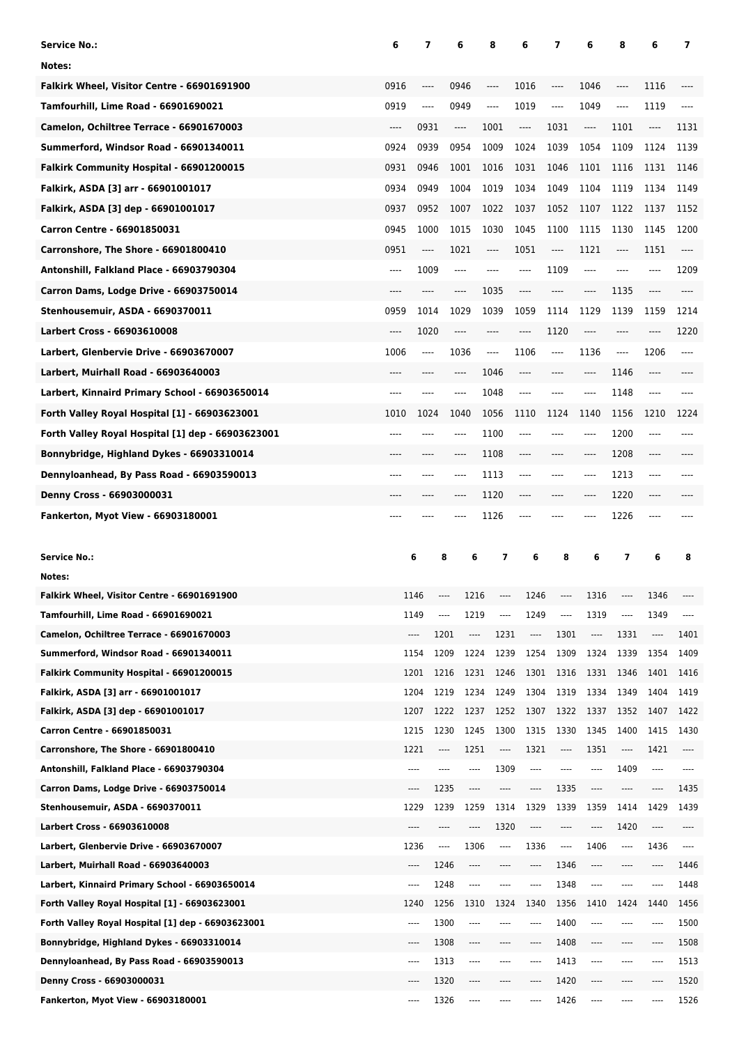| <b>Service No.:</b>                                                                             | 6                             | 7                             | 6                    | 8                | 6                             | 7                             | 6            | 8                             | 6                             | 7            |
|-------------------------------------------------------------------------------------------------|-------------------------------|-------------------------------|----------------------|------------------|-------------------------------|-------------------------------|--------------|-------------------------------|-------------------------------|--------------|
| Notes:                                                                                          |                               |                               |                      |                  |                               |                               |              |                               |                               |              |
| Falkirk Wheel, Visitor Centre - 66901691900                                                     | 0916                          | $---$                         | 0946                 | ----             | 1016                          | ----                          | 1046         | $---$                         | 1116                          |              |
| Tamfourhill, Lime Road - 66901690021                                                            | 0919                          | $\hspace{1.5cm} \textbf{---}$ | 0949                 | ----             | 1019                          | ----                          | 1049         | $\hspace{1.5cm} \textbf{---}$ | 1119                          | ----         |
| Camelon, Ochiltree Terrace - 66901670003                                                        | $\hspace{1.5cm} \textbf{---}$ | 0931                          | ----                 | 1001             | $\hspace{1.5cm} \textbf{---}$ | 1031                          | ----         | 1101                          | ----                          | 1131         |
| Summerford, Windsor Road - 66901340011                                                          | 0924                          | 0939                          | 0954                 | 1009             | 1024                          | 1039                          | 1054         | 1109                          | 1124                          | 1139         |
| Falkirk Community Hospital - 66901200015                                                        | 0931                          | 0946                          | 1001                 | 1016             | 1031                          | 1046                          | 1101         | 1116                          | 1131                          | 1146         |
| Falkirk, ASDA [3] arr - 66901001017                                                             | 0934                          | 0949                          | 1004                 | 1019             | 1034                          | 1049                          | 1104         | 1119                          | 1134                          | 1149         |
| Falkirk, ASDA [3] dep - 66901001017                                                             | 0937                          | 0952                          | 1007                 | 1022             | 1037                          | 1052                          | 1107         | 1122                          | 1137                          | 1152         |
| Carron Centre - 66901850031                                                                     | 0945                          | 1000                          | 1015                 | 1030             | 1045                          | 1100                          | 1115         | 1130                          | 1145                          | 1200         |
| Carronshore, The Shore - 66901800410                                                            | 0951                          | ----                          | 1021                 | ----             | 1051                          | ----                          | 1121         | $\hspace{1.5cm} \textbf{---}$ | 1151                          | ----         |
| Antonshill, Falkland Place - 66903790304                                                        | ----                          | 1009                          | ----                 | ----             | $---$                         | 1109                          | ----         | $---$                         | ----                          | 1209         |
| Carron Dams, Lodge Drive - 66903750014                                                          | ----                          | $-----$                       | ----                 | 1035             | $---$                         | ----                          | ----         | 1135                          | ----                          | ----         |
| Stenhousemuir, ASDA - 6690370011                                                                | 0959                          | 1014                          | 1029                 | 1039             | 1059                          | 1114                          | 1129         | 1139                          | 1159                          | 1214         |
| <b>Larbert Cross - 66903610008</b>                                                              | ----                          | 1020                          | ----                 | ----             | $-----$                       | 1120                          | ----         | ----                          | ----                          | 1220         |
| Larbert, Glenbervie Drive - 66903670007                                                         | 1006                          | $\hspace{1.5cm} \textbf{---}$ | 1036                 | ----             | 1106                          | $\hspace{1.5cm} \textbf{---}$ | 1136         | $\hspace{1.5cm} \textbf{---}$ | 1206                          | ----         |
| Larbert, Muirhall Road - 66903640003                                                            | ----                          | $---$                         | ----                 | 1046             | $---$                         | ----                          | ----         | 1146                          | $\hspace{1.5cm} \textbf{---}$ |              |
| Larbert, Kinnaird Primary School - 66903650014                                                  | ----                          | ----                          | ----                 | 1048             | $---$                         | ----                          | ----         | 1148                          | ----                          |              |
| Forth Valley Royal Hospital [1] - 66903623001                                                   | 1010                          | 1024                          | 1040                 | 1056             | 1110                          | 1124                          | 1140         | 1156                          | 1210                          | 1224         |
| Forth Valley Royal Hospital [1] dep - 66903623001                                               | ----                          | $---$                         | ----                 | 1100             | $---$                         | ----                          | ----         | 1200                          | ----                          | ----         |
| Bonnybridge, Highland Dykes - 66903310014                                                       | ----                          | $-----$                       | ----                 | 1108             | $---$                         | ----                          | $-----$      | 1208                          | ----                          |              |
| Dennyloanhead, By Pass Road - 66903590013                                                       | ----                          | ----                          | ----                 | 1113             | $---$                         | ----                          | ----         | 1213                          | $---$                         |              |
| Denny Cross - 66903000031                                                                       |                               | ----                          | ----                 | 1120             | $-----$                       | ----                          | ----         | 1220                          | ----                          |              |
|                                                                                                 | ----                          |                               |                      | 1126             |                               |                               | ----         | 1226                          | ----                          |              |
|                                                                                                 |                               |                               |                      |                  |                               |                               |              |                               |                               |              |
| Fankerton, Myot View - 66903180001                                                              |                               |                               |                      |                  |                               |                               |              |                               |                               |              |
| <b>Service No.:</b>                                                                             |                               | 6                             | 8<br>6               | 7                | 6                             | 8                             | 6            | 7                             | 6                             | 8            |
| Notes:                                                                                          |                               |                               |                      |                  |                               |                               |              |                               |                               |              |
| Falkirk Wheel, Visitor Centre - 66901691900                                                     |                               | 1146                          | 1216                 | ----             | 1246                          |                               | 1316         | ----                          | 1346                          |              |
| Tamfourhill, Lime Road - 66901690021                                                            |                               | 1149                          | 1219<br>----         | ----             | 1249                          | ----                          | 1319         | ----                          | 1349                          |              |
| Camelon, Ochiltree Terrace - 66901670003                                                        |                               | ----                          | 1201<br>----         | 1231             | $\cdots$                      | 1301                          | $\cdots$     | 1331                          | $\cdots$                      | 1401         |
| Summerford, Windsor Road - 66901340011                                                          |                               | 1154                          | 1209<br>1224         | 1239             | 1254                          | 1309                          | 1324         | 1339                          | 1354                          | 1409         |
| Falkirk Community Hospital - 66901200015                                                        |                               | 1201                          | 1216<br>1231         | 1246             | 1301                          | 1316                          | 1331         | 1346                          | 1401                          | 1416         |
| Falkirk, ASDA [3] arr - 66901001017                                                             |                               | 1204                          | 1219<br>1234         | 1249             | 1304                          | 1319                          | 1334         | 1349                          | 1404                          | 1419         |
| Falkirk, ASDA [3] dep - 66901001017                                                             |                               | 1207                          | 1222<br>1237         | 1252             | 1307                          | 1322                          | 1337         | 1352                          | 1407                          | 1422         |
| Carron Centre - 66901850031                                                                     |                               | 1215                          | 1230<br>1245         | 1300             | 1315                          | 1330                          | 1345         | 1400                          | 1415                          | 1430         |
| Carronshore, The Shore - 66901800410                                                            |                               | 1221                          | 1251<br>----         | $\cdots$         | 1321                          | ----                          | 1351         | $\cdots$                      | 1421                          | $\cdots$     |
| Antonshill, Falkland Place - 66903790304                                                        |                               | ----                          | ----<br>----         | 1309             | ----                          | ----                          | ----         | 1409                          | $\cdots$                      | ----         |
| Carron Dams, Lodge Drive - 66903750014                                                          |                               | ----                          | 1235<br>----         | ----             | ----                          | 1335                          | ----         | ----                          | $\cdots$                      | 1435         |
| Stenhousemuir, ASDA - 6690370011                                                                |                               | 1229                          | 1239<br>1259         | 1314             | 1329                          | 1339                          | 1359         | 1414                          | 1429                          | 1439         |
| <b>Larbert Cross - 66903610008</b>                                                              |                               | ----                          | ----<br>----         | 1320             | ----                          | ----                          | ----         | 1420                          | $\cdots$                      | ----         |
| Larbert, Glenbervie Drive - 66903670007                                                         |                               | 1236                          | 1306<br>$\cdots$     | $\cdots$<br>---- | 1336                          | ----                          | 1406<br>---- | $\cdots$<br>$---$             | 1436                          | $\cdots$     |
| Larbert, Muirhall Road - 66903640003                                                            |                               | ----<br>----                  | 1246<br>----<br>---- | ----             | ----<br>$---$                 | 1346                          | ----         | $- - - -$                     | $\cdots$<br>$\cdots$          | 1446         |
| Larbert, Kinnaird Primary School - 66903650014<br>Forth Valley Royal Hospital [1] - 66903623001 |                               | 1240                          | 1248<br>1256<br>1310 | 1324             | 1340                          | 1348<br>1356                  | 1410         | 1424                          | 1440                          | 1448<br>1456 |
| Forth Valley Royal Hospital [1] dep - 66903623001                                               |                               | ----                          | 1300<br>----         |                  | ----                          | 1400                          | ----         | ----                          | $- - - -$                     | 1500         |
| Bonnybridge, Highland Dykes - 66903310014                                                       |                               | ----                          | 1308<br>----         |                  | ----                          | 1408                          | ----         |                               | $-- -$                        | 1508         |
| Dennyloanhead, By Pass Road - 66903590013                                                       |                               | ----                          | 1313<br>$- - - -$    | ----             | $---$                         | 1413                          | ----         | ----                          | $\cdots$                      | 1513         |
| Denny Cross - 66903000031                                                                       |                               | ----                          | 1320<br>$---$        | ----             | ----                          | 1420                          | ----         | ----                          | $- - - -$                     | 1520         |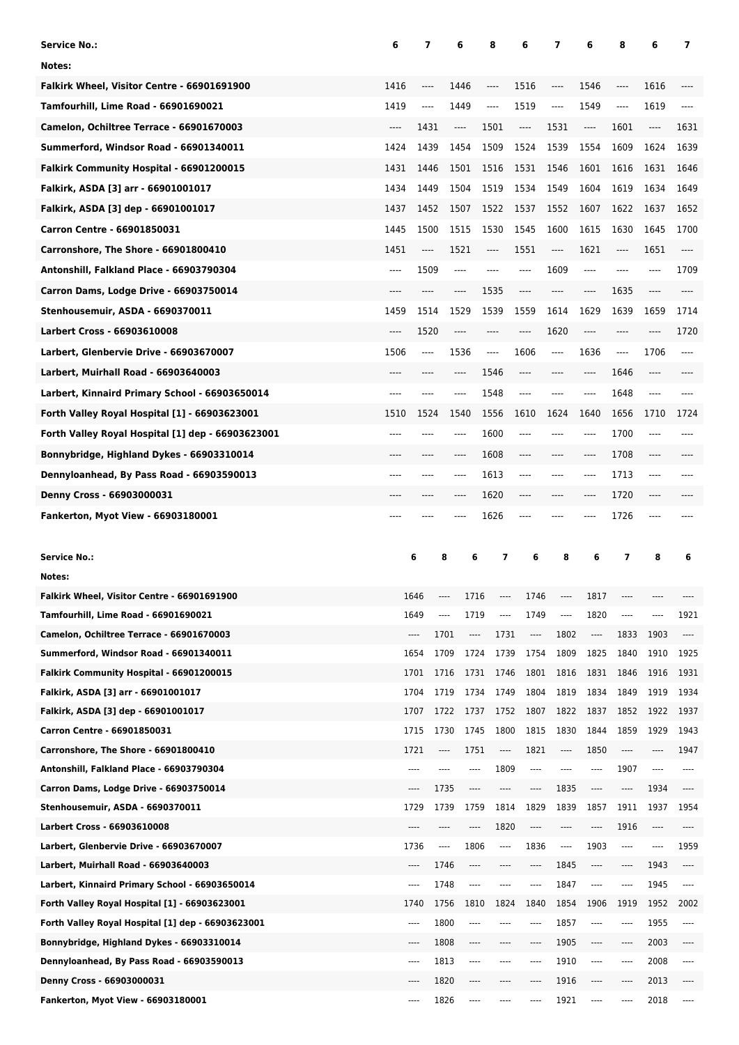| <b>Service No.:</b>                                                                             | 6                             | 7            | 6            | 8                        | 6                             | 7                                            | 6            | 8                             | 6            | 7                                                                                                                             |
|-------------------------------------------------------------------------------------------------|-------------------------------|--------------|--------------|--------------------------|-------------------------------|----------------------------------------------|--------------|-------------------------------|--------------|-------------------------------------------------------------------------------------------------------------------------------|
| Notes:                                                                                          |                               |              |              |                          |                               |                                              |              |                               |              |                                                                                                                               |
| Falkirk Wheel, Visitor Centre - 66901691900                                                     | 1416                          | $---$        | 1446         | ----                     | 1516                          | ----                                         | 1546         | ----                          | 1616         |                                                                                                                               |
| Tamfourhill, Lime Road - 66901690021                                                            | 1419                          | ----         | 1449         | ----                     | 1519                          | ----                                         | 1549         | $\hspace{1.5cm} \textbf{---}$ | 1619         | $---$                                                                                                                         |
| Camelon, Ochiltree Terrace - 66901670003                                                        | $\hspace{1.5cm} \textbf{---}$ | 1431         | ----         | 1501                     | $\hspace{1.5cm} \textbf{---}$ | 1531                                         | ----         | 1601                          | ----         | 1631                                                                                                                          |
| Summerford, Windsor Road - 66901340011                                                          | 1424                          | 1439         | 1454         | 1509                     | 1524                          | 1539                                         | 1554         | 1609                          | 1624         | 1639                                                                                                                          |
| Falkirk Community Hospital - 66901200015                                                        | 1431                          | 1446         | 1501         | 1516                     | 1531                          | 1546                                         | 1601         | 1616                          | 1631         | 1646                                                                                                                          |
| Falkirk, ASDA [3] arr - 66901001017                                                             | 1434                          | 1449         | 1504         | 1519                     | 1534                          | 1549                                         | 1604         | 1619                          | 1634         | 1649                                                                                                                          |
| Falkirk, ASDA [3] dep - 66901001017                                                             | 1437                          | 1452         | 1507         | 1522                     | 1537                          | 1552                                         | 1607         | 1622                          | 1637         | 1652                                                                                                                          |
| Carron Centre - 66901850031                                                                     | 1445                          | 1500         | 1515         | 1530                     | 1545                          | 1600                                         | 1615         | 1630                          | 1645         | 1700                                                                                                                          |
| Carronshore, The Shore - 66901800410                                                            | 1451                          | $\cdots$     | 1521         | $---$                    | 1551                          | ----                                         | 1621         | $\hspace{1.5cm} \textbf{---}$ | 1651         | ----                                                                                                                          |
| Antonshill, Falkland Place - 66903790304                                                        | $-----$                       | 1509         | $-----$      | ----                     | $-----$                       | 1609                                         | ----         | $---$                         | ----         | 1709                                                                                                                          |
| Carron Dams, Lodge Drive - 66903750014                                                          | $---$                         | ----         | ----         | 1535                     | $---$                         | ----                                         | ----         | 1635                          | ----         | ----                                                                                                                          |
| Stenhousemuir, ASDA - 6690370011                                                                | 1459                          | 1514         | 1529         | 1539                     | 1559                          | 1614                                         | 1629         | 1639                          | 1659         | 1714                                                                                                                          |
| <b>Larbert Cross - 66903610008</b>                                                              | ----                          | 1520         | ----         | ----                     | $-----$                       | 1620                                         | ----         | ----                          | ----         | 1720                                                                                                                          |
| Larbert, Glenbervie Drive - 66903670007                                                         | 1506                          | ----         | 1536         | ----                     | 1606                          | $\hspace{1.5cm} \textbf{---} \hspace{1.5cm}$ | 1636         | $\hspace{1.5cm} \textbf{---}$ | 1706         | ----                                                                                                                          |
| Larbert, Muirhall Road - 66903640003                                                            | $---$                         | ----         | ----         | 1546                     | $---$                         | ----                                         | ----         | 1646                          | ----         |                                                                                                                               |
| Larbert, Kinnaird Primary School - 66903650014                                                  | ----                          |              | ----         | 1548                     | $---$                         | ----                                         | ----         | 1648                          | ----         |                                                                                                                               |
| Forth Valley Royal Hospital [1] - 66903623001                                                   | 1510                          | 1524         | 1540         | 1556                     | 1610                          | 1624                                         | 1640         | 1656                          | 1710         | 1724                                                                                                                          |
| Forth Valley Royal Hospital [1] dep - 66903623001                                               | ----                          |              | ----         | 1600                     | $---$                         | ----                                         | ----         | 1700                          | ----         |                                                                                                                               |
| Bonnybridge, Highland Dykes - 66903310014                                                       | ----                          | ----         | ----         | 1608                     | $---$                         | ----                                         | ----         | 1708                          | ----         |                                                                                                                               |
| Dennyloanhead, By Pass Road - 66903590013                                                       | ----                          | ----         | ----         | 1613                     | $---$                         | ----                                         | ----         | 1713                          | ----         |                                                                                                                               |
| Denny Cross - 66903000031                                                                       |                               |              | ----         | 1620                     | ----                          | ----                                         | ----         | 1720                          | ----         |                                                                                                                               |
| Fankerton, Myot View - 66903180001                                                              | ----                          |              |              | 1626                     |                               |                                              | ----         | 1726                          | ----         |                                                                                                                               |
|                                                                                                 |                               |              |              |                          |                               |                                              |              |                               |              |                                                                                                                               |
|                                                                                                 |                               |              |              |                          |                               |                                              |              |                               |              |                                                                                                                               |
| <b>Service No.:</b>                                                                             |                               | 6            | 8            | 6<br>7                   | 6                             | 8                                            | 6            | 7                             | 8            | 6                                                                                                                             |
| Notes:                                                                                          |                               |              |              |                          |                               |                                              |              |                               |              |                                                                                                                               |
| Falkirk Wheel, Visitor Centre - 66901691900                                                     |                               | 1646         |              | 1716<br>----             | 1746                          |                                              | 1817         |                               |              |                                                                                                                               |
| Tamfourhill, Lime Road - 66901690021                                                            |                               | 1649         | ----         | 1719<br>----             | 1749                          | ----                                         | 1820         | ----                          | $- - - -$    | 1921                                                                                                                          |
| Camelon, Ochiltree Terrace - 66901670003                                                        |                               | ----         | 1701         | 1731<br>$\cdots$         | ----                          | 1802                                         | ----         | 1833                          | 1903         | $\cdots$                                                                                                                      |
| Summerford, Windsor Road - 66901340011                                                          |                               | 1654         | 1709         | 1724<br>1739             | 1754                          | 1809                                         | 1825         | 1840                          | 1910         | 1925                                                                                                                          |
| Falkirk Community Hospital - 66901200015                                                        |                               | 1701         | 1716         | 1731<br>1746             | 1801                          | 1816                                         | 1831         | 1846                          | 1916         | 1931                                                                                                                          |
| Falkirk, ASDA [3] arr - 66901001017                                                             |                               | 1704         | 1719         | 1734<br>1749             | 1804                          | 1819                                         | 1834         | 1849                          | 1919         | 1934                                                                                                                          |
| Falkirk, ASDA [3] dep - 66901001017                                                             |                               | 1707         | 1722         | 1737<br>1752             | 1807                          | 1822                                         | 1837         | 1852                          | 1922         | 1937                                                                                                                          |
| Carron Centre - 66901850031                                                                     |                               | 1715         | 1730         | 1745<br>1800             | 1815                          | 1830                                         | 1844         | 1859                          | 1929         | 1943                                                                                                                          |
| Carronshore, The Shore - 66901800410                                                            |                               | 1721         | ----         | 1751<br>$\cdots$         | 1821                          | ----                                         | 1850         | $\cdots$                      | $\cdots$     | 1947                                                                                                                          |
| Antonshill, Falkland Place - 66903790304                                                        |                               | ----         | ----         | 1809<br>----             | ----                          | ----                                         | ----         | 1907                          | $\cdots$     | ----                                                                                                                          |
| Carron Dams, Lodge Drive - 66903750014                                                          |                               | ----         | 1735         | ----<br>$\cdots$         | ----                          | 1835                                         | ----         | ----                          | 1934         | $\cdots$                                                                                                                      |
| Stenhousemuir, ASDA - 6690370011                                                                |                               | 1729         | 1739         | 1759<br>1814             | 1829                          | 1839                                         | 1857         | 1911                          | 1937         | 1954                                                                                                                          |
| Larbert Cross - 66903610008                                                                     |                               | ----         | ----         | 1820<br>----             | ----                          | ----                                         | ----         | 1916                          | $\cdots$     | ----                                                                                                                          |
| Larbert, Glenbervie Drive - 66903670007                                                         |                               | 1736         | ----         | 1806<br>$\cdots$<br>---- | 1836                          | $\cdots$                                     | 1903         | $\cdots$                      | $\cdots$     | 1959                                                                                                                          |
| Larbert, Muirhall Road - 66903640003                                                            |                               | ----<br>---- | 1746         | ----<br>----<br>----     | ----<br>$\cdots$              | 1845                                         | ----<br>---- | ----<br>$\cdots$              | 1943         | $\hspace{0.01em}\rule{0.7pt}{0.1em}\hspace{0.01em}\cdots\hspace{0.01em}\rule{0.7pt}{0.05em}\hspace{0.01em}\cdots$<br>$\cdots$ |
| Larbert, Kinnaird Primary School - 66903650014<br>Forth Valley Royal Hospital [1] - 66903623001 |                               | 1740         | 1748<br>1756 | 1810<br>1824             | 1840                          | 1847<br>1854                                 | 1906         | 1919                          | 1945<br>1952 | 2002                                                                                                                          |
| Forth Valley Royal Hospital [1] dep - 66903623001                                               |                               | ----         | 1800         | ----<br>----             | ----                          | 1857                                         | ----         | $\cdots$                      | 1955         | $\cdots$                                                                                                                      |
| Bonnybridge, Highland Dykes - 66903310014                                                       |                               | ----         | 1808         | ----                     | ----                          | 1905                                         | ----         | ----                          | 2003         | ----                                                                                                                          |
| Dennyloanhead, By Pass Road - 66903590013                                                       |                               | ----         | 1813         | $\cdots$<br>----         | $\cdots$                      | 1910                                         | ----         | $\cdots$                      | 2008         | $\cdots$                                                                                                                      |
| Denny Cross - 66903000031                                                                       |                               | ----         | 1820         | $- - - -$<br>----        | $---$                         | 1916                                         | ----         | $- - - -$                     | 2013         | $\cdots$                                                                                                                      |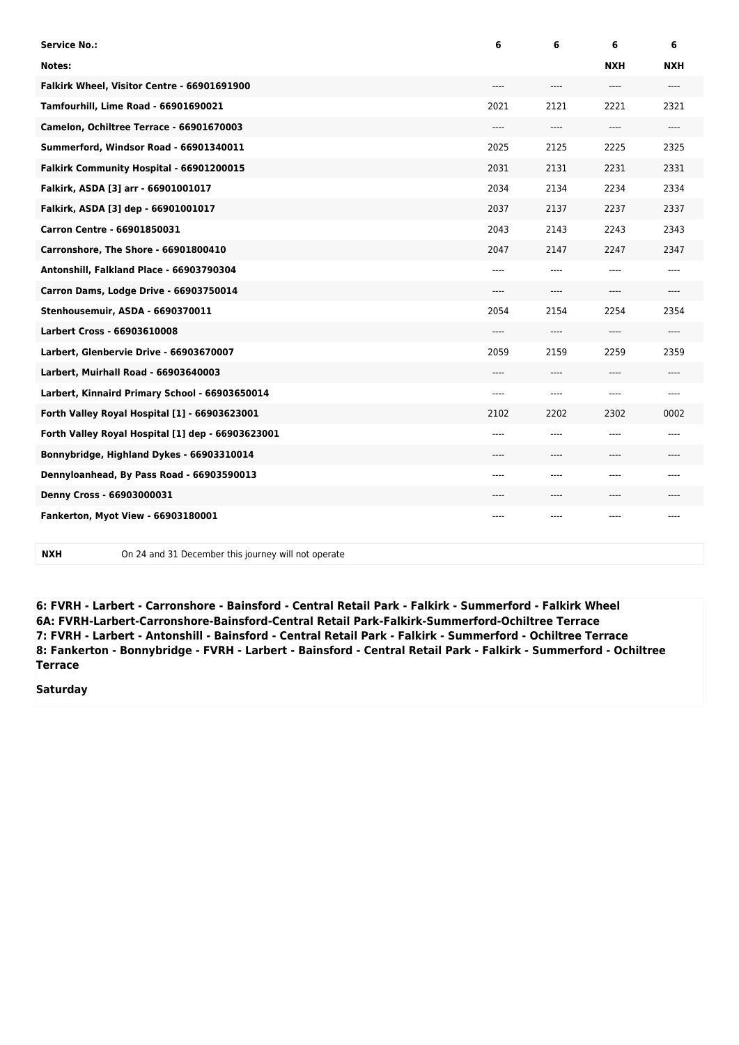| <b>Service No.:</b>                               | 6     | 6     | 6          | 6          |
|---------------------------------------------------|-------|-------|------------|------------|
| Notes:                                            |       |       | <b>NXH</b> | <b>NXH</b> |
| Falkirk Wheel, Visitor Centre - 66901691900       | $---$ | ----  | ----       | $---$      |
| Tamfourhill, Lime Road - 66901690021              | 2021  | 2121  | 2221       | 2321       |
| Camelon, Ochiltree Terrace - 66901670003          | $---$ | ----  | ----       | ----       |
| Summerford, Windsor Road - 66901340011            | 2025  | 2125  | 2225       | 2325       |
| Falkirk Community Hospital - 66901200015          | 2031  | 2131  | 2231       | 2331       |
| Falkirk, ASDA [3] arr - 66901001017               | 2034  | 2134  | 2234       | 2334       |
| Falkirk, ASDA [3] dep - 66901001017               | 2037  | 2137  | 2237       | 2337       |
| Carron Centre - 66901850031                       | 2043  | 2143  | 2243       | 2343       |
| Carronshore, The Shore - 66901800410              | 2047  | 2147  | 2247       | 2347       |
| Antonshill, Falkland Place - 66903790304          | $---$ | ----  | ----       | ----       |
| Carron Dams, Lodge Drive - 66903750014            | $---$ | $---$ | ----       | ----       |
| Stenhousemuir, ASDA - 6690370011                  | 2054  | 2154  | 2254       | 2354       |
| Larbert Cross - 66903610008                       | $---$ | ----  | ----       | $---$      |
| Larbert, Glenbervie Drive - 66903670007           | 2059  | 2159  | 2259       | 2359       |
| Larbert, Muirhall Road - 66903640003              | $---$ | ----  | ----       | ----       |
| Larbert, Kinnaird Primary School - 66903650014    | $---$ | ----  | ----       | $---$      |
| Forth Valley Royal Hospital [1] - 66903623001     | 2102  | 2202  | 2302       | 0002       |
| Forth Valley Royal Hospital [1] dep - 66903623001 | $---$ | ----  | $---$      | ----       |
| Bonnybridge, Highland Dykes - 66903310014         | ----  | ----  | ----       | ----       |
| Dennyloanhead, By Pass Road - 66903590013         | ----  | ----  | ----       | ----       |
| Denny Cross - 66903000031                         | $---$ | ----  | ----       | ----       |
| <b>Fankerton, Myot View - 66903180001</b>         |       | ----  |            |            |

**NXH** On 24 and 31 December this journey will not operate

**6: FVRH - Larbert - Carronshore - Bainsford - Central Retail Park - Falkirk - Summerford - Falkirk Wheel 6A: FVRH-Larbert-Carronshore-Bainsford-Central Retail Park-Falkirk-Summerford-Ochiltree Terrace 7: FVRH - Larbert - Antonshill - Bainsford - Central Retail Park - Falkirk - Summerford - Ochiltree Terrace 8: Fankerton - Bonnybridge - FVRH - Larbert - Bainsford - Central Retail Park - Falkirk - Summerford - Ochiltree Terrace**

## **Saturday**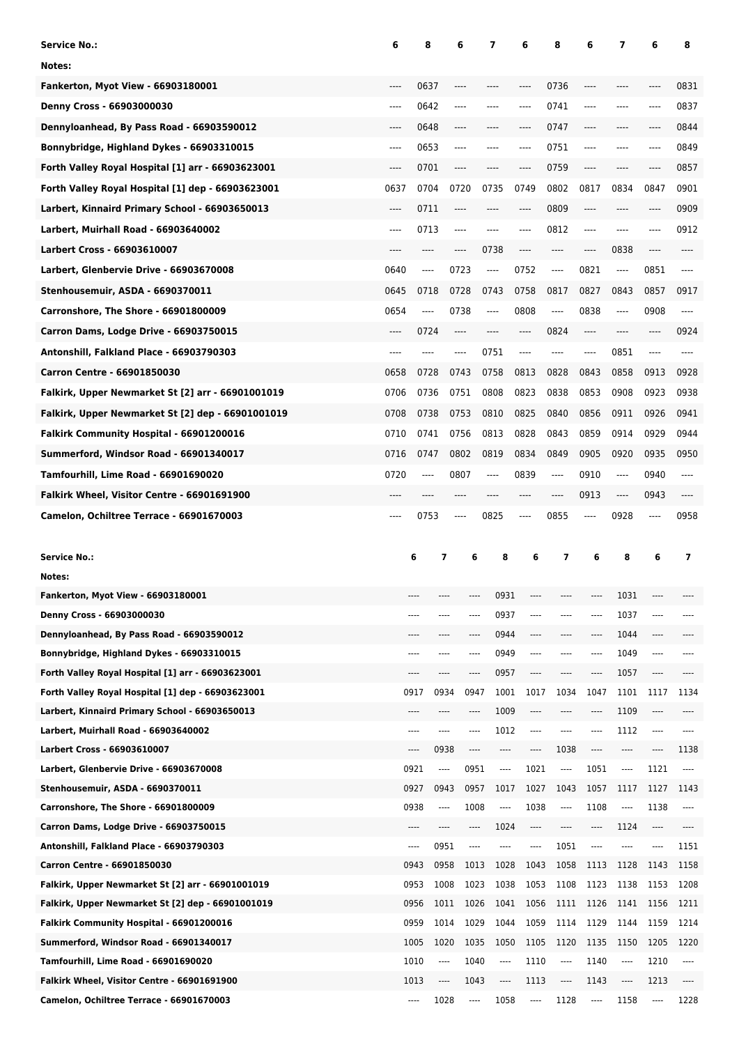| Service No.:                                                                        | 6     | 8            | 6                            | 7                | 6            | 8            | 6            | 7                             | 6            | 8                |
|-------------------------------------------------------------------------------------|-------|--------------|------------------------------|------------------|--------------|--------------|--------------|-------------------------------|--------------|------------------|
| Notes:                                                                              |       |              |                              |                  |              |              |              |                               |              |                  |
| <b>Fankerton, Myot View - 66903180001</b>                                           | ----  | 0637         | ----                         |                  |              | 0736         | ----         |                               |              | 0831             |
| Denny Cross - 66903000030                                                           | ----  | 0642         | ----                         | ----             | $---$        | 0741         | ----         | $---$                         | ----         | 0837             |
| Dennyloanhead, By Pass Road - 66903590012                                           | ----  | 0648         | ----                         | ----             | $---$        | 0747         | ----         | $---$                         |              | 0844             |
| Bonnybridge, Highland Dykes - 66903310015                                           | ----  | 0653         | ----                         | ----             | ----         | 0751         | ----         | ----                          | ----         | 0849             |
| Forth Valley Royal Hospital [1] arr - 66903623001                                   | ----  | 0701         | ----                         | ----             | $---$        | 0759         | ----         | $---$                         | ----         | 0857             |
| Forth Valley Royal Hospital [1] dep - 66903623001                                   | 0637  | 0704         | 0720                         | 0735             | 0749         | 0802         | 0817         | 0834                          | 0847         | 0901             |
| Larbert, Kinnaird Primary School - 66903650013                                      | ----  | 0711         | ----                         | ----             | $---$        | 0809         | ----         | ----                          | ----         | 0909             |
| Larbert, Muirhall Road - 66903640002                                                | ----  | 0713         | ----                         | ----             | ----         | 0812         | $-----$      | ----                          | ----         | 0912             |
| <b>Larbert Cross - 66903610007</b>                                                  | ----  | ----         | ----                         | 0738             | $---$        | ----         | ----         | 0838                          | ----         | ----             |
| Larbert, Glenbervie Drive - 66903670008                                             | 0640  | $\cdots$     | 0723                         | ----             | 0752         | $\cdots$     | 0821         | $\hspace{1.5cm} \textbf{---}$ | 0851         | ----             |
| Stenhousemuir, ASDA - 6690370011                                                    | 0645  | 0718         | 0728                         | 0743             | 0758         | 0817         | 0827         | 0843                          | 0857         | 0917             |
| Carronshore, The Shore - 66901800009                                                | 0654  | $\cdots$     | 0738                         | ----             | 0808         | $\cdots$     | 0838         | $\hspace{1.5cm} \textbf{---}$ | 0908         | ----             |
| Carron Dams, Lodge Drive - 66903750015                                              | ----  | 0724         | ----                         | ----             | $---$        | 0824         | ----         | $---$                         | ----         | 0924             |
| Antonshill, Falkland Place - 66903790303                                            | $---$ |              | ----                         | 0751             | ----         | ----         | ----         | 0851                          | ----         | ----             |
| Carron Centre - 66901850030                                                         | 0658  | 0728         | 0743                         | 0758             | 0813         | 0828         | 0843         | 0858                          | 0913         | 0928             |
| Falkirk, Upper Newmarket St [2] arr - 66901001019                                   | 0706  | 0736         | 0751                         | 0808             | 0823         | 0838         | 0853         | 0908                          | 0923         | 0938             |
| Falkirk, Upper Newmarket St [2] dep - 66901001019                                   | 0708  | 0738         | 0753                         | 0810             | 0825         | 0840         | 0856         | 0911                          | 0926         | 0941             |
| Falkirk Community Hospital - 66901200016                                            | 0710  | 0741         | 0756                         | 0813             | 0828         | 0843         | 0859         | 0914                          | 0929         | 0944             |
| Summerford, Windsor Road - 66901340017                                              | 0716  | 0747         | 0802                         | 0819             | 0834         | 0849         | 0905         | 0920                          | 0935         | 0950             |
| Tamfourhill, Lime Road - 66901690020                                                | 0720  | $\cdots$     | 0807                         | ----             | 0839         | $\cdots$     | 0910         | $\hspace{1.5cm} \textbf{---}$ | 0940         | ----             |
| Falkirk Wheel, Visitor Centre - 66901691900                                         |       |              | ----                         |                  |              | ----         | 0913         | $\hspace{1.5cm} \textbf{---}$ | 0943         |                  |
| Camelon, Ochiltree Terrace - 66901670003                                            | ----  | 0753         | ----                         | 0825             | ----         | 0855         | ----         | 0928                          | ----         | 0958             |
|                                                                                     |       |              |                              |                  |              |              |              |                               |              |                  |
|                                                                                     |       |              |                              |                  |              |              |              |                               |              |                  |
|                                                                                     |       |              | 7                            |                  | 6            | 7            |              |                               |              |                  |
| <b>Service No.:</b><br>Notes:                                                       |       | 6            | 6                            | 8                |              |              | 6            | 8                             | 6            | 7                |
| Fankerton, Myot View - 66903180001                                                  |       |              |                              | 0931             |              |              |              | 1031                          |              |                  |
| Denny Cross - 66903000030                                                           |       | $---$        | ----<br>----                 | 0937             | ----         | ----         | ----         | 1037                          | ----         |                  |
| Dennyloanhead, By Pass Road - 66903590012                                           |       |              | ----<br>----                 | 0944             | ----         | ----         | ----         | 1044                          | $\cdots$     |                  |
| Bonnybridge, Highland Dykes - 66903310015                                           |       | ----         | ----<br>----                 | 0949             | $---$        | ----         | ----         | 1049                          | $- - - -$    |                  |
| Forth Valley Royal Hospital [1] arr - 66903623001                                   |       | ----         | ----<br>----                 | 0957             | ----         | $\cdots$     | $\cdots$     | 1057                          | $\cdots$     |                  |
| Forth Valley Royal Hospital [1] dep - 66903623001                                   |       | 0917         | 0934<br>0947                 | 1001             | 1017         | 1034         | 1047         | 1101                          | 1117         | 1134             |
| Larbert, Kinnaird Primary School - 66903650013                                      |       | $---$        | $\cdots$<br>----             | 1009             | $\cdots$     | ----         | $\cdots$     | 1109                          | $\cdots$     |                  |
| Larbert, Muirhall Road - 66903640002                                                |       | ----         | ----<br>----                 | 1012             | $---$        | ----         | ----         | 1112                          | $\cdots$     |                  |
| <b>Larbert Cross - 66903610007</b>                                                  |       | ----         | 0938<br>----                 | ----             | ----         | 1038         | ----         | ----                          | $\cdots$     | 1138             |
| Larbert, Glenbervie Drive - 66903670008                                             |       | 0921         | 0951<br>$\cdots$             | $\cdots$         | 1021         | $\cdots$     | 1051         | $\cdots$                      | 1121         | $\cdots$         |
| Stenhousemuir, ASDA - 6690370011                                                    |       | 0927         | 0943<br>0957                 | 1017             | 1027         | 1043         | 1057         | 1117                          | 1127         | 1143             |
| Carronshore, The Shore - 66901800009                                                |       | 0938         | 1008<br>$\cdots$             | ----             | 1038         | ----         | 1108         | $\cdots$                      | 1138         | $\cdots$         |
| Carron Dams, Lodge Drive - 66903750015                                              |       | $---$        | $\cdots$<br>----             | 1024             | ----         | $\cdots$     | $\cdots$     | 1124                          | $\cdots$     | ----             |
| Antonshill, Falkland Place - 66903790303                                            |       | $- - - -$    | 0951<br>----                 | $1 - 1$          | $---$        | 1051         | ----         | $- - - -$                     | $\cdots$     | 1151             |
| Carron Centre - 66901850030                                                         |       | 0943         | 0958<br>1013                 | 1028             | 1043         | 1058         | 1113         | 1128                          | 1143         | 1158             |
| Falkirk, Upper Newmarket St [2] arr - 66901001019                                   |       | 0953         | 1008<br>1023                 | 1038             | 1053         | 1108         | 1123         | 1138                          | 1153         | 1208             |
| Falkirk, Upper Newmarket St [2] dep - 66901001019                                   |       | 0956         | 1011<br>1026                 | 1041             | 1056         | 1111         | 1126         | 1141                          | 1156         | 1211             |
| Falkirk Community Hospital - 66901200016                                            |       | 0959         | 1014<br>1029                 | 1044             | 1059         | 1114         | 1129         | 1144                          | 1159         | 1214             |
| Summerford, Windsor Road - 66901340017                                              |       | 1005         | 1020<br>1035<br>1040<br>---- | 1050<br>$\cdots$ | 1105         | 1120<br>---- | 1135<br>1140 | 1150<br>$\cdots$              | 1205         | 1220<br>$\cdots$ |
| Tamfourhill, Lime Road - 66901690020<br>Falkirk Wheel, Visitor Centre - 66901691900 |       | 1010<br>1013 | 1043<br>----                 | ----             | 1110<br>1113 | $\cdots$     | 1143         | ----                          | 1210<br>1213 |                  |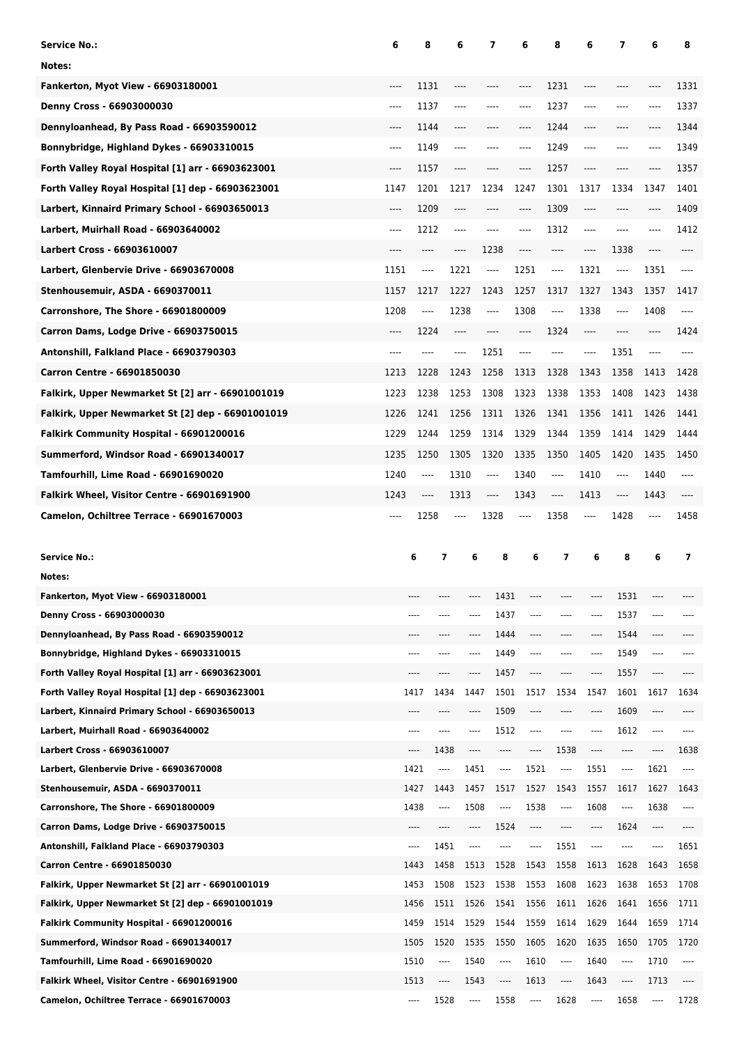| Service No.:                                                                       | 6       | 8            | 6                            | 7            | 6            | 8                             | 6            | 7                             | 6            | 8                        |
|------------------------------------------------------------------------------------|---------|--------------|------------------------------|--------------|--------------|-------------------------------|--------------|-------------------------------|--------------|--------------------------|
| Notes:                                                                             |         |              |                              |              |              |                               |              |                               |              |                          |
| <b>Fankerton, Myot View - 66903180001</b>                                          | ----    | 1131         | ----                         |              | ----         | 1231                          | ----         |                               |              | 1331                     |
| Denny Cross - 66903000030                                                          | ----    | 1137         | ----                         | ----         | $---$        | 1237                          | ----         | ----                          | ----         | 1337                     |
| Dennyloanhead, By Pass Road - 66903590012                                          | ----    | 1144         | ----                         | ----         | ----         | 1244                          | ----         | ----                          |              | 1344                     |
| Bonnybridge, Highland Dykes - 66903310015                                          | $---$   | 1149         | ----                         | ----         | $---$        | 1249                          | ----         | ----                          | ----         | 1349                     |
| Forth Valley Royal Hospital [1] arr - 66903623001                                  | ----    | 1157         | ----                         | ----         | ----         | 1257                          | ----         | $---$                         | ----         | 1357                     |
| Forth Valley Royal Hospital [1] dep - 66903623001                                  | 1147    | 1201         | 1217                         | 1234         | 1247         | 1301                          | 1317         | 1334                          | 1347         | 1401                     |
| Larbert, Kinnaird Primary School - 66903650013                                     | $-----$ | 1209         | $\cdots$                     | ----         | ----         | 1309                          | ----         | ----                          | ----         | 1409                     |
| Larbert, Muirhall Road - 66903640002                                               | ----    | 1212         | $-----$                      | ----         | $---$        | 1312                          | $-----$      | ----                          | ----         | 1412                     |
| <b>Larbert Cross - 66903610007</b>                                                 | ----    | ----         | ----                         | 1238         | $---$        | $\hspace{1.5cm} \textbf{---}$ | ----         | 1338                          | ----         | ----                     |
| Larbert, Glenbervie Drive - 66903670008                                            | 1151    | $\cdots$     | 1221                         | ----         | 1251         | $\cdots$                      | 1321         | $\hspace{1.5cm} \textbf{---}$ | 1351         | ----                     |
| Stenhousemuir, ASDA - 6690370011                                                   | 1157    | 1217         | 1227                         | 1243         | 1257         | 1317                          | 1327         | 1343                          | 1357         | 1417                     |
| Carronshore, The Shore - 66901800009                                               | 1208    | $\cdots$     | 1238                         | ----         | 1308         | $\hspace{1.5cm} \textbf{---}$ | 1338         | $\hspace{1.5cm} \textbf{---}$ | 1408         | ----                     |
| Carron Dams, Lodge Drive - 66903750015                                             | $-----$ | 1224         | $\cdots$                     | ----         | ----         | 1324                          | ----         | $---$                         | ----         | 1424                     |
| Antonshill, Falkland Place - 66903790303                                           | ----    |              | ----                         | 1251         | $---$        | ----                          | ----         | 1351                          | ----         |                          |
| Carron Centre - 66901850030                                                        | 1213    | 1228         | 1243                         | 1258         | 1313         | 1328                          | 1343         | 1358                          | 1413         | 1428                     |
| Falkirk, Upper Newmarket St [2] arr - 66901001019                                  | 1223    | 1238         | 1253                         | 1308         | 1323         | 1338                          | 1353         | 1408                          | 1423         | 1438                     |
| Falkirk, Upper Newmarket St [2] dep - 66901001019                                  | 1226    | 1241         | 1256                         | 1311         | 1326         | 1341                          | 1356         | 1411                          | 1426         | 1441                     |
| Falkirk Community Hospital - 66901200016                                           | 1229    | 1244         | 1259                         | 1314         | 1329         | 1344                          | 1359         | 1414                          | 1429         | 1444                     |
| Summerford, Windsor Road - 66901340017                                             | 1235    | 1250         | 1305                         | 1320         | 1335         | 1350                          | 1405         | 1420                          | 1435         | 1450                     |
| Tamfourhill, Lime Road - 66901690020                                               | 1240    | $\cdots$     | 1310                         | ----         | 1340         | $\cdots$                      | 1410         | $\hspace{1.5cm} \textbf{---}$ | 1440         | ----                     |
| Falkirk Wheel, Visitor Centre - 66901691900                                        | 1243    | $\cdots$     | 1313                         | ----         | 1343         | $\cdots$                      | 1413         | $\hspace{1.5cm} \textbf{---}$ | 1443         |                          |
| Camelon, Ochiltree Terrace - 66901670003                                           | ----    | 1258         | ----                         | 1328         | $\cdots$     | 1358                          | ----         | 1428                          | ----         | 1458                     |
|                                                                                    |         |              |                              |              |              |                               |              |                               |              |                          |
|                                                                                    |         |              |                              |              |              |                               |              |                               |              |                          |
| <b>Service No.:</b>                                                                |         | 6            | 7<br>6                       | 8            | 6            | 7                             | 6            | 8                             | 6            | $\overline{\phantom{a}}$ |
| Notes:                                                                             |         |              |                              |              |              |                               |              |                               |              |                          |
| Fankerton, Myot View - 66903180001                                                 |         |              |                              | 1431         |              |                               |              | 1531                          |              |                          |
| Denny Cross - 66903000030                                                          |         | $---$        | ----<br>----                 | 1437         | ----         | ----                          | ----         | 1537                          | $---$        |                          |
| Dennyloanhead, By Pass Road - 66903590012                                          |         | ----         | ----<br>$- - - -$            | 1444         | ----         | $\cdots$                      | ----         | 1544                          | $\cdots$     |                          |
| Bonnybridge, Highland Dykes - 66903310015                                          |         | ----         | ----<br>----                 | 1449         | $---$        | ----                          | ----         | 1549                          | $- - - -$    |                          |
| Forth Valley Royal Hospital [1] arr - 66903623001                                  |         | $---$        | ----<br>----                 | 1457         | $---$        | ----                          | $\cdots$     | 1557                          | $\cdots$     |                          |
| Forth Valley Royal Hospital [1] dep - 66903623001                                  |         | 1417         | 1434<br>1447                 | 1501         | 1517         | 1534                          | 1547         | 1601                          | 1617         | 1634                     |
| Larbert, Kinnaird Primary School - 66903650013                                     |         | $---$        | ----<br>----                 | 1509         | $---$        | $---$                         | ----         | 1609                          | $- - - -$    |                          |
| Larbert, Muirhall Road - 66903640002                                               |         | $---$        | ----<br>----                 | 1512         | ----         | ----                          | ----         | 1612                          | $\cdots$     |                          |
| Larbert Cross - 66903610007                                                        |         | $\cdots$     | 1438<br>----                 | $\cdots$     | ----         | 1538                          | ----         | ----                          | $\cdots$     | 1638                     |
| Larbert, Glenbervie Drive - 66903670008                                            |         | 1421         | 1451<br>$\cdots$             | $\cdots$     | 1521         | ----                          | 1551         | $\cdots$                      | 1621         | $\cdots$                 |
| Stenhousemuir, ASDA - 6690370011                                                   |         | 1427         | 1443<br>1457                 | 1517         | 1527         | 1543                          | 1557         | 1617                          | 1627         | 1643                     |
| Carronshore, The Shore - 66901800009                                               |         | 1438         | 1508<br>$\cdots$             | ----         | 1538         | ----                          | 1608         | $\cdots$                      | 1638         | $\cdots$                 |
| Carron Dams, Lodge Drive - 66903750015                                             |         | $---$        | ----<br>$\cdots$             | 1524         | ----         | $\cdots$                      | ----         | 1624                          | $\cdots$     | ----                     |
| Antonshill, Falkland Place - 66903790303                                           |         | ----         | 1451<br>----                 | $---$        | $\cdots$     | 1551                          | ----         | $- - - -$                     | $\cdots$     | 1651                     |
| Carron Centre - 66901850030                                                        |         | 1443         | 1458<br>1513                 | 1528         | 1543         | 1558                          | 1613         | 1628                          | 1643         | 1658                     |
| Falkirk, Upper Newmarket St [2] arr - 66901001019                                  |         | 1453         | 1508<br>1523                 | 1538         | 1553         | 1608                          | 1623         | 1638                          | 1653         | 1708                     |
| Falkirk, Upper Newmarket St [2] dep - 66901001019                                  |         | 1456         | 1511 1526                    | 1541         | 1556         | 1611                          | 1626         | 1641                          | 1656         | 1711                     |
| Falkirk Community Hospital - 66901200016<br>Summerford, Windsor Road - 66901340017 |         | 1459<br>1505 | 1514<br>1529<br>1520<br>1535 | 1544<br>1550 | 1559<br>1605 | 1614<br>1620                  | 1629<br>1635 | 1644<br>1650                  | 1659<br>1705 | 1714<br>1720             |
| Tamfourhill, Lime Road - 66901690020                                               |         | 1510         | 1540<br>----                 | ----         | 1610         | ----                          | 1640         | $\cdots$                      | 1710         | $\cdots$                 |
| Falkirk Wheel, Visitor Centre - 66901691900                                        |         | 1513         | 1543<br>----                 | ----         | 1613         | $---$                         | 1643         | ----                          | 1713         |                          |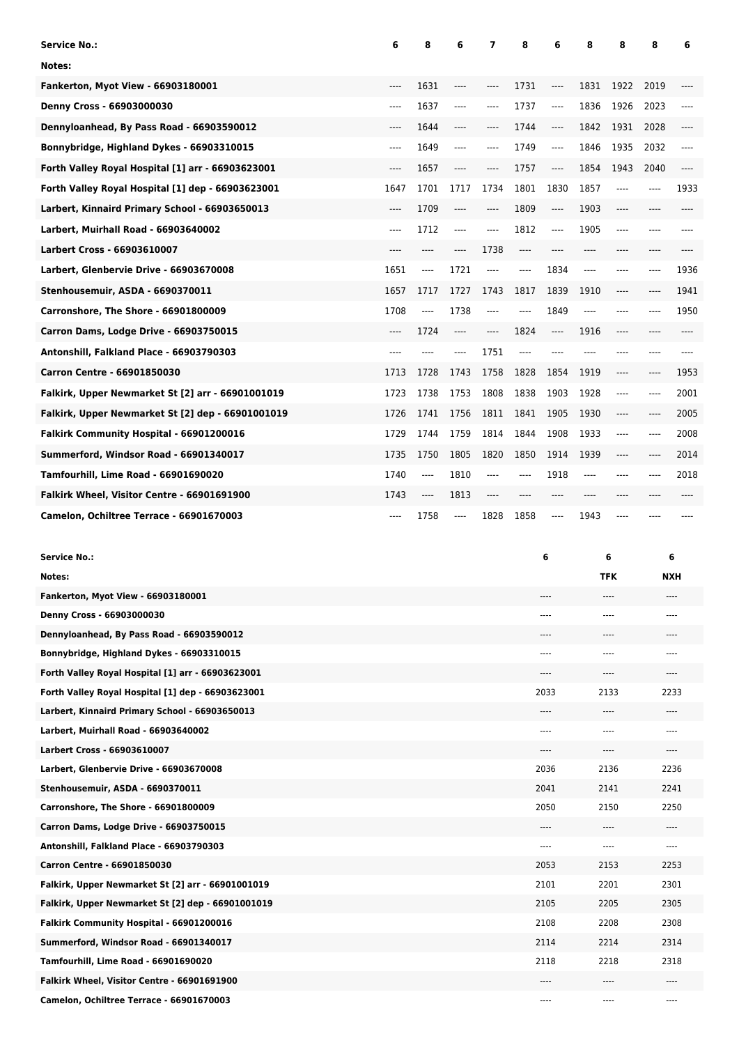| <b>Service No.:</b>                               | 6     | 8     | 6        | 7    | 8        | 6        | 8     | 8                                    | 8     | 6     |
|---------------------------------------------------|-------|-------|----------|------|----------|----------|-------|--------------------------------------|-------|-------|
| Notes:                                            |       |       |          |      |          |          |       |                                      |       |       |
| <b>Fankerton, Myot View - 66903180001</b>         | $---$ | 1631  | ----     | ---- | 1731     | ----     | 1831  | 1922                                 | 2019  |       |
| Denny Cross - 66903000030                         | $---$ | 1637  | $---$    | ---- | 1737     | $---$    | 1836  | 1926                                 | 2023  | $---$ |
| Dennyloanhead, By Pass Road - 66903590012         | $---$ | 1644  | ----     | ---- | 1744     | $---$    | 1842  | 1931                                 | 2028  | ----  |
| Bonnybridge, Highland Dykes - 66903310015         | $---$ | 1649  | $-----$  | ---- | 1749     | $\cdots$ | 1846  | 1935                                 | 2032  | ----  |
| Forth Valley Royal Hospital [1] arr - 66903623001 | $---$ | 1657  | $\cdots$ | ---- | 1757     | $\cdots$ | 1854  | 1943                                 | 2040  | ----  |
| Forth Valley Royal Hospital [1] dep - 66903623001 | 1647  | 1701  | 1717     | 1734 | 1801     | 1830     | 1857  | $\qquad \qquad \cdots \qquad \qquad$ | ----  | 1933  |
| Larbert, Kinnaird Primary School - 66903650013    | $---$ | 1709  | $---$    | ---- | 1809     | $\cdots$ | 1903  | $---$                                | $---$ | ----  |
| Larbert, Muirhall Road - 66903640002              | $---$ | 1712  | $---$    | ---- | 1812     | $-----$  | 1905  | $\qquad \qquad \cdots \qquad \qquad$ | ----  |       |
| <b>Larbert Cross - 66903610007</b>                |       |       | ----     | 1738 | $---$    | ----     | ----  |                                      | ----  |       |
| Larbert, Glenbervie Drive - 66903670008           | 1651  | ----  | 1721     | ---- | $\cdots$ | 1834     | ----  | $---$                                | ----  | 1936  |
| Stenhousemuir, ASDA - 6690370011                  | 1657  | 1717  | 1727     | 1743 | 1817     | 1839     | 1910  | $---$                                | ----  | 1941  |
| Carronshore, The Shore - 66901800009              | 1708  | ----  | 1738     | ---- | $\cdots$ | 1849     | ----  | $---$                                | ----  | 1950  |
| Carron Dams, Lodge Drive - 66903750015            | $---$ | 1724  | $---$    | ---- | 1824     | $\cdots$ | 1916  | $---$                                | ----  |       |
| Antonshill, Falkland Place - 66903790303          | ----  |       | ----     | 1751 | $\cdots$ | ----     | ----  | $---$                                | ----  |       |
| <b>Carron Centre - 66901850030</b>                | 1713  | 1728  | 1743     | 1758 | 1828     | 1854     | 1919  | $---$                                | ----  | 1953  |
| Falkirk, Upper Newmarket St [2] arr - 66901001019 | 1723  | 1738  | 1753     | 1808 | 1838     | 1903     | 1928  | $\qquad \qquad \cdots \qquad \qquad$ | ----  | 2001  |
| Falkirk, Upper Newmarket St [2] dep - 66901001019 | 1726  | 1741  | 1756     | 1811 | 1841     | 1905     | 1930  | $---$                                | ----  | 2005  |
| Falkirk Community Hospital - 66901200016          | 1729  | 1744  | 1759     | 1814 | 1844     | 1908     | 1933  | $\qquad \qquad \cdots \qquad \qquad$ | ----  | 2008  |
| Summerford, Windsor Road - 66901340017            | 1735  | 1750  | 1805     | 1820 | 1850     | 1914     | 1939  | $\hspace{1.5cm} \textbf{---}$        | ----  | 2014  |
| Tamfourhill, Lime Road - 66901690020              | 1740  | ----  | 1810     | ---- | $\cdots$ | 1918     | $---$ | $-- - -$                             | ----  | 2018  |
| Falkirk Wheel, Visitor Centre - 66901691900       | 1743  | $---$ | 1813     | ---- |          |          | ----  | $---$                                |       |       |
| Camelon, Ochiltree Terrace - 66901670003          | ----  | 1758  | $---$    | 1828 | 1858     | ----     | 1943  | $---$                                |       |       |

| <b>Service No.:</b>                               | 6     | 6          | 6          |
|---------------------------------------------------|-------|------------|------------|
| Notes:                                            |       | <b>TFK</b> | <b>NXH</b> |
| Fankerton, Myot View - 66903180001                | ----  | $---$      | ----       |
| Denny Cross - 66903000030                         | $---$ | $\sim$     | ----       |
| Dennyloanhead, By Pass Road - 66903590012         | ----  | $---$      | ----       |
| Bonnybridge, Highland Dykes - 66903310015         | ----  | $- - - -$  | ----       |
| Forth Valley Royal Hospital [1] arr - 66903623001 | ----  | ----       | ----       |
| Forth Valley Royal Hospital [1] dep - 66903623001 | 2033  | 2133       | 2233       |
| Larbert, Kinnaird Primary School - 66903650013    | ----  | ----       | ----       |
| Larbert, Muirhall Road - 66903640002              | ----  | $---$      | ----       |
| Larbert Cross - 66903610007                       | ----  | ----       | $---$      |
| Larbert, Glenbervie Drive - 66903670008           | 2036  | 2136       | 2236       |
| Stenhousemuir, ASDA - 6690370011                  | 2041  | 2141       | 2241       |
| Carronshore, The Shore - 66901800009              | 2050  | 2150       | 2250       |
| Carron Dams, Lodge Drive - 66903750015            | ----  | ----       | ----       |
| Antonshill, Falkland Place - 66903790303          | $---$ | $---$      | ----       |
| Carron Centre - 66901850030                       | 2053  | 2153       | 2253       |
| Falkirk, Upper Newmarket St [2] arr - 66901001019 | 2101  | 2201       | 2301       |
| Falkirk, Upper Newmarket St [2] dep - 66901001019 | 2105  | 2205       | 2305       |
| Falkirk Community Hospital - 66901200016          | 2108  | 2208       | 2308       |
| Summerford, Windsor Road - 66901340017            | 2114  | 2214       | 2314       |
| Tamfourhill, Lime Road - 66901690020              | 2118  | 2218       | 2318       |
| Falkirk Wheel, Visitor Centre - 66901691900       | ----  | $---$      | ----       |
| Camelon, Ochiltree Terrace - 66901670003          | ----  | $- - - -$  | $- - - -$  |